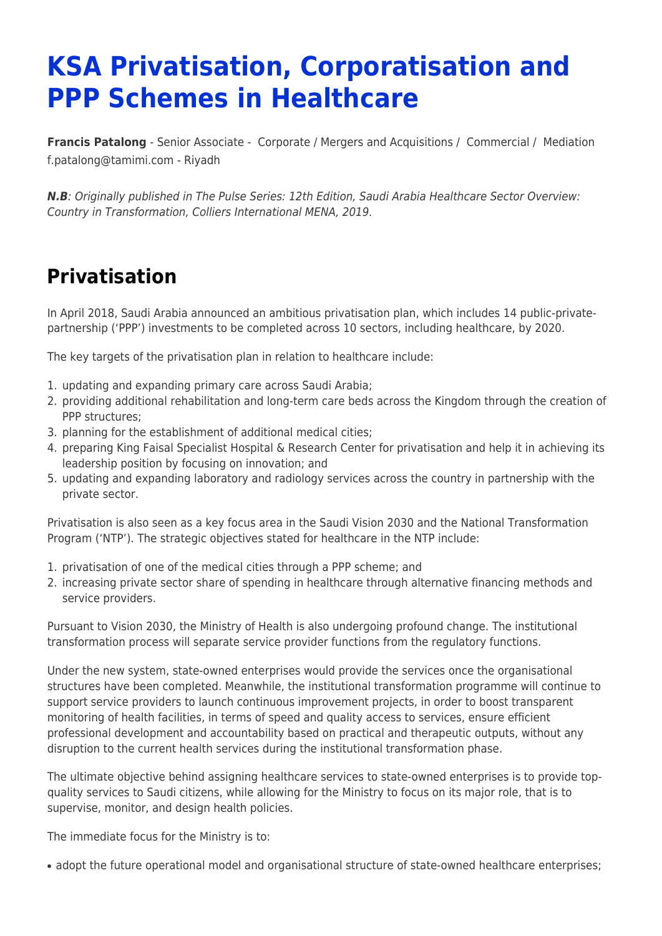# **KSA Privatisation, Corporatisation and PPP Schemes in Healthcare**

**[Francis Patalong](https://www.tamimi.com/find-a-lawyer/francis-patalong/)** - Senior Associate - [Corporate / Mergers and Acquisitions](https://www.tamimi.com/client-services/practices/corporate-mergers-acquisitions/) / [Commercial](https://www.tamimi.com/client-services/practices/commercial/) / [Mediation](https://www.tamimi.com/client-services/practices/mediation/) [f.patalong@tamimi.com](mailto:f.patalong@tamimi.com) - [Riyadh](https://www.tamimi.com/locations/saudi-arabia/)

*N.B*: Originally published in The Pulse Series: 12th Edition, Saudi Arabia Healthcare Sector Overview: Country in Transformation, Colliers International MENA, 2019.

### **Privatisation**

In April 2018, Saudi Arabia announced an ambitious privatisation plan, which includes 14 public-privatepartnership ('PPP') investments to be completed across 10 sectors, including healthcare, by 2020.

The key targets of the privatisation plan in relation to healthcare include:

- 1. updating and expanding primary care across Saudi Arabia;
- 2. providing additional rehabilitation and long-term care beds across the Kingdom through the creation of PPP structures;
- 3. planning for the establishment of additional medical cities;
- 4. preparing King Faisal Specialist Hospital & Research Center for privatisation and help it in achieving its leadership position by focusing on innovation; and
- 5. updating and expanding laboratory and radiology services across the country in partnership with the private sector.

Privatisation is also seen as a key focus area in the Saudi Vision 2030 and the National Transformation Program ('NTP'). The strategic objectives stated for healthcare in the NTP include:

- 1. privatisation of one of the medical cities through a PPP scheme; and
- 2. increasing private sector share of spending in healthcare through alternative financing methods and service providers.

Pursuant to Vision 2030, the Ministry of Health is also undergoing profound change. The institutional transformation process will separate service provider functions from the regulatory functions.

Under the new system, state-owned enterprises would provide the services once the organisational structures have been completed. Meanwhile, the institutional transformation programme will continue to support service providers to launch continuous improvement projects, in order to boost transparent monitoring of health facilities, in terms of speed and quality access to services, ensure efficient professional development and accountability based on practical and therapeutic outputs, without any disruption to the current health services during the institutional transformation phase.

The ultimate objective behind assigning healthcare services to state-owned enterprises is to provide topquality services to Saudi citizens, while allowing for the Ministry to focus on its major role, that is to supervise, monitor, and design health policies.

The immediate focus for the Ministry is to:

• adopt the future operational model and organisational structure of state-owned healthcare enterprises;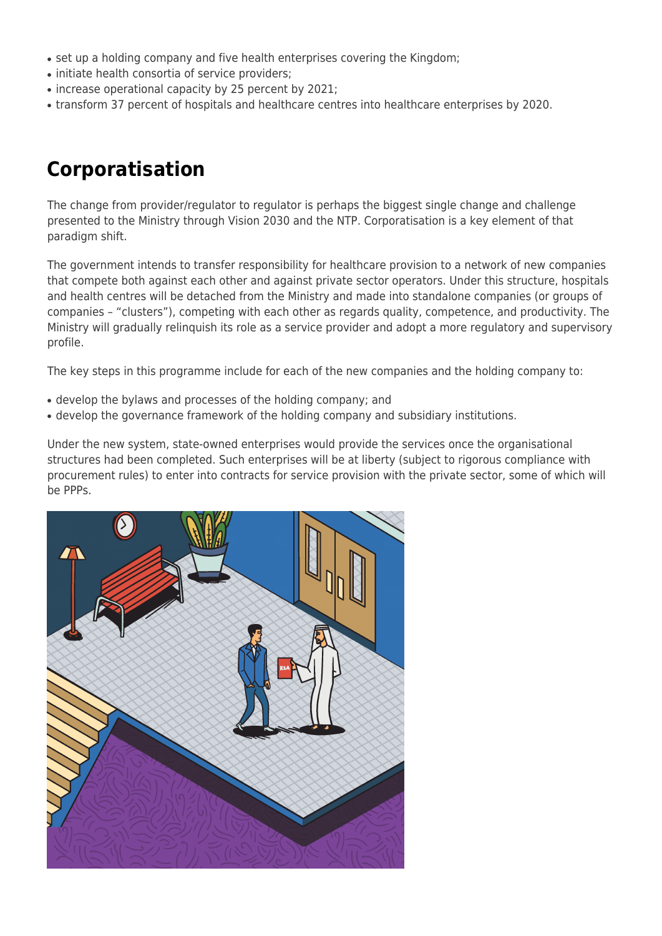- set up a holding company and five health enterprises covering the Kingdom;
- initiate health consortia of service providers;
- increase operational capacity by 25 percent by 2021;
- transform 37 percent of hospitals and healthcare centres into healthcare enterprises by 2020.

## **Corporatisation**

The change from provider/regulator to regulator is perhaps the biggest single change and challenge presented to the Ministry through Vision 2030 and the NTP. Corporatisation is a key element of that paradigm shift.

The government intends to transfer responsibility for healthcare provision to a network of new companies that compete both against each other and against private sector operators. Under this structure, hospitals and health centres will be detached from the Ministry and made into standalone companies (or groups of companies – "clusters"), competing with each other as regards quality, competence, and productivity. The Ministry will gradually relinquish its role as a service provider and adopt a more regulatory and supervisory profile.

The key steps in this programme include for each of the new companies and the holding company to:

- develop the bylaws and processes of the holding company; and
- develop the governance framework of the holding company and subsidiary institutions.

Under the new system, state-owned enterprises would provide the services once the organisational structures had been completed. Such enterprises will be at liberty (subject to rigorous compliance with procurement rules) to enter into contracts for service provision with the private sector, some of which will be PPPs.

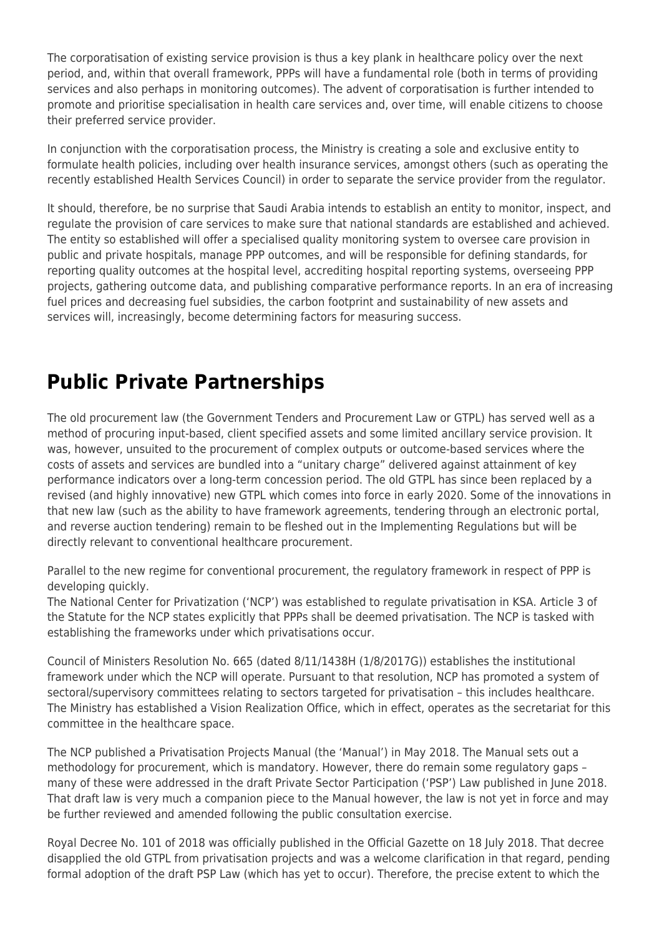The corporatisation of existing service provision is thus a key plank in healthcare policy over the next period, and, within that overall framework, PPPs will have a fundamental role (both in terms of providing services and also perhaps in monitoring outcomes). The advent of corporatisation is further intended to promote and prioritise specialisation in health care services and, over time, will enable citizens to choose their preferred service provider.

In conjunction with the corporatisation process, the Ministry is creating a sole and exclusive entity to formulate health policies, including over health insurance services, amongst others (such as operating the recently established Health Services Council) in order to separate the service provider from the regulator.

It should, therefore, be no surprise that Saudi Arabia intends to establish an entity to monitor, inspect, and regulate the provision of care services to make sure that national standards are established and achieved. The entity so established will offer a specialised quality monitoring system to oversee care provision in public and private hospitals, manage PPP outcomes, and will be responsible for defining standards, for reporting quality outcomes at the hospital level, accrediting hospital reporting systems, overseeing PPP projects, gathering outcome data, and publishing comparative performance reports. In an era of increasing fuel prices and decreasing fuel subsidies, the carbon footprint and sustainability of new assets and services will, increasingly, become determining factors for measuring success.

### **Public Private Partnerships**

The old procurement law (the Government Tenders and Procurement Law or GTPL) has served well as a method of procuring input-based, client specified assets and some limited ancillary service provision. It was, however, unsuited to the procurement of complex outputs or outcome-based services where the costs of assets and services are bundled into a "unitary charge" delivered against attainment of key performance indicators over a long-term concession period. The old GTPL has since been replaced by a revised (and highly innovative) new GTPL which comes into force in early 2020. Some of the innovations in that new law (such as the ability to have framework agreements, tendering through an electronic portal, and reverse auction tendering) remain to be fleshed out in the Implementing Regulations but will be directly relevant to conventional healthcare procurement.

Parallel to the new regime for conventional procurement, the regulatory framework in respect of PPP is developing quickly.

The National Center for Privatization ('NCP') was established to regulate privatisation in KSA. Article 3 of the Statute for the NCP states explicitly that PPPs shall be deemed privatisation. The NCP is tasked with establishing the frameworks under which privatisations occur.

Council of Ministers Resolution No. 665 (dated 8/11/1438H (1/8/2017G)) establishes the institutional framework under which the NCP will operate. Pursuant to that resolution, NCP has promoted a system of sectoral/supervisory committees relating to sectors targeted for privatisation – this includes healthcare. The Ministry has established a Vision Realization Office, which in effect, operates as the secretariat for this committee in the healthcare space.

The NCP published a Privatisation Projects Manual (the 'Manual') in May 2018. The Manual sets out a methodology for procurement, which is mandatory. However, there do remain some regulatory gaps – many of these were addressed in the draft Private Sector Participation ('PSP') Law published in June 2018. That draft law is very much a companion piece to the Manual however, the law is not yet in force and may be further reviewed and amended following the public consultation exercise.

Royal Decree No. 101 of 2018 was officially published in the Official Gazette on 18 July 2018. That decree disapplied the old GTPL from privatisation projects and was a welcome clarification in that regard, pending formal adoption of the draft PSP Law (which has yet to occur). Therefore, the precise extent to which the